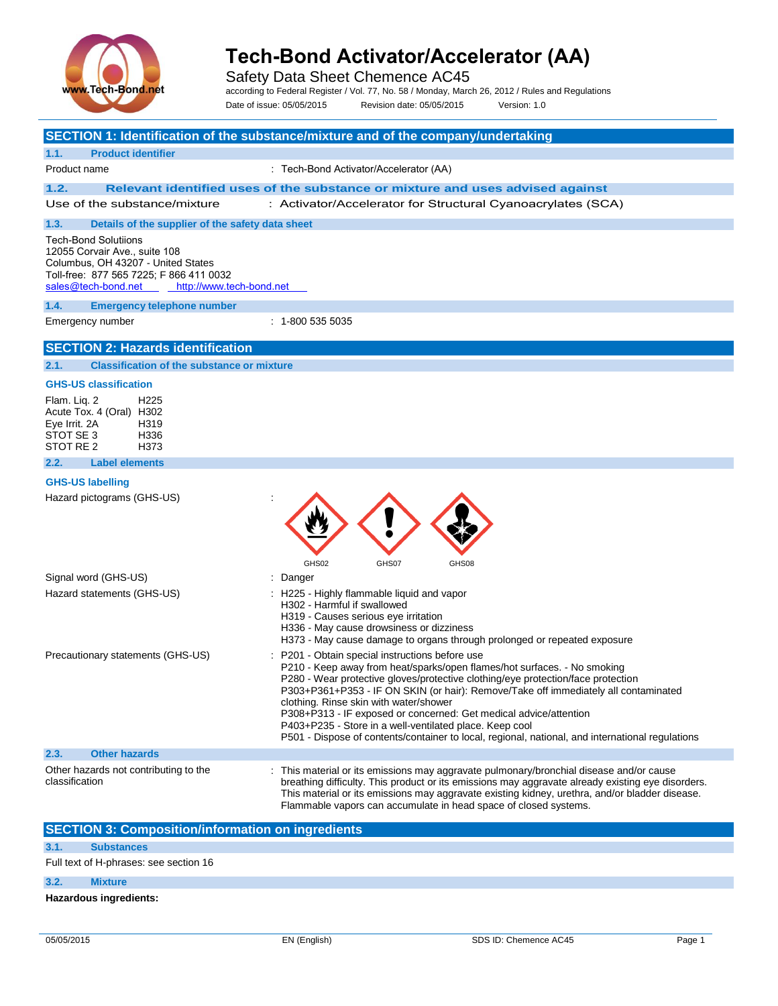

Safety Data Sheet Chemence AC45

according to Federal Register / Vol. 77, No. 58 / Monday, March 26, 2012 / Rules and Regulations

Date of issue: 05/05/2015 Revision date: 05/05/2015 Version: 1.0

|                                                                                                                                                                                                  | SECTION 1: Identification of the substance/mixture and of the company/undertaking                                                                                                                                                                                                                                                                                                                                                                                                                                                                                                    |
|--------------------------------------------------------------------------------------------------------------------------------------------------------------------------------------------------|--------------------------------------------------------------------------------------------------------------------------------------------------------------------------------------------------------------------------------------------------------------------------------------------------------------------------------------------------------------------------------------------------------------------------------------------------------------------------------------------------------------------------------------------------------------------------------------|
| <b>Product identifier</b><br>1.1.                                                                                                                                                                |                                                                                                                                                                                                                                                                                                                                                                                                                                                                                                                                                                                      |
| Product name                                                                                                                                                                                     | : Tech-Bond Activator/Accelerator (AA)                                                                                                                                                                                                                                                                                                                                                                                                                                                                                                                                               |
| 1.2.                                                                                                                                                                                             | Relevant identified uses of the substance or mixture and uses advised against                                                                                                                                                                                                                                                                                                                                                                                                                                                                                                        |
| Use of the substance/mixture                                                                                                                                                                     | : Activator/Accelerator for Structural Cyanoacrylates (SCA)                                                                                                                                                                                                                                                                                                                                                                                                                                                                                                                          |
| 1.3.<br>Details of the supplier of the safety data sheet                                                                                                                                         |                                                                                                                                                                                                                                                                                                                                                                                                                                                                                                                                                                                      |
| <b>Tech-Bond Solutiions</b><br>12055 Corvair Ave., suite 108<br>Columbus, OH 43207 - United States<br>Toll-free: 877 565 7225; F 866 411 0032<br>sales@tech-bond.net<br>http://www.tech-bond.net |                                                                                                                                                                                                                                                                                                                                                                                                                                                                                                                                                                                      |
| 1.4.<br><b>Emergency telephone number</b>                                                                                                                                                        |                                                                                                                                                                                                                                                                                                                                                                                                                                                                                                                                                                                      |
| Emergency number                                                                                                                                                                                 | $: 1 - 8005355035$                                                                                                                                                                                                                                                                                                                                                                                                                                                                                                                                                                   |
| <b>SECTION 2: Hazards identification</b>                                                                                                                                                         |                                                                                                                                                                                                                                                                                                                                                                                                                                                                                                                                                                                      |
| <b>Classification of the substance or mixture</b><br>2.1.                                                                                                                                        |                                                                                                                                                                                                                                                                                                                                                                                                                                                                                                                                                                                      |
| <b>GHS-US classification</b>                                                                                                                                                                     |                                                                                                                                                                                                                                                                                                                                                                                                                                                                                                                                                                                      |
| Flam. Lig. 2<br>H <sub>225</sub><br>Acute Tox. 4 (Oral) H302<br>Eye Irrit. 2A<br>H319<br>STOT SE 3<br>H336<br>STOT RE 2<br>H373                                                                  |                                                                                                                                                                                                                                                                                                                                                                                                                                                                                                                                                                                      |
| <b>Label elements</b><br>2.2.                                                                                                                                                                    |                                                                                                                                                                                                                                                                                                                                                                                                                                                                                                                                                                                      |
| <b>GHS-US labelling</b><br>Hazard pictograms (GHS-US)                                                                                                                                            | GHS02<br>GHS07<br>GHS08                                                                                                                                                                                                                                                                                                                                                                                                                                                                                                                                                              |
| Signal word (GHS-US)                                                                                                                                                                             | : Danger                                                                                                                                                                                                                                                                                                                                                                                                                                                                                                                                                                             |
| Hazard statements (GHS-US)                                                                                                                                                                       | : H225 - Highly flammable liquid and vapor<br>H302 - Harmful if swallowed<br>H319 - Causes serious eye irritation<br>H336 - May cause drowsiness or dizziness<br>H373 - May cause damage to organs through prolonged or repeated exposure                                                                                                                                                                                                                                                                                                                                            |
| Precautionary statements (GHS-US)                                                                                                                                                                | : P201 - Obtain special instructions before use<br>P210 - Keep away from heat/sparks/open flames/hot surfaces. - No smoking<br>P280 - Wear protective gloves/protective clothing/eye protection/face protection<br>P303+P361+P353 - IF ON SKIN (or hair): Remove/Take off immediately all contaminated<br>clothing. Rinse skin with water/shower<br>P308+P313 - IF exposed or concerned: Get medical advice/attention<br>P403+P235 - Store in a well-ventilated place. Keep cool<br>P501 - Dispose of contents/container to local, regional, national, and international regulations |
| <b>Other hazards</b><br>2.3.                                                                                                                                                                     |                                                                                                                                                                                                                                                                                                                                                                                                                                                                                                                                                                                      |
| Other hazards not contributing to the<br>classification                                                                                                                                          | : This material or its emissions may aggravate pulmonary/bronchial disease and/or cause<br>breathing difficulty. This product or its emissions may aggravate already existing eye disorders.<br>This material or its emissions may aggravate existing kidney, urethra, and/or bladder disease.<br>Flammable vapors can accumulate in head space of closed systems.                                                                                                                                                                                                                   |
| <b>SECTION 3: Composition/information on ingredients</b>                                                                                                                                         |                                                                                                                                                                                                                                                                                                                                                                                                                                                                                                                                                                                      |
| 3.1.<br><b>Substances</b>                                                                                                                                                                        |                                                                                                                                                                                                                                                                                                                                                                                                                                                                                                                                                                                      |
| Full text of H-phrases: see section 16                                                                                                                                                           |                                                                                                                                                                                                                                                                                                                                                                                                                                                                                                                                                                                      |
| 3.2.<br><b>Mixture</b>                                                                                                                                                                           |                                                                                                                                                                                                                                                                                                                                                                                                                                                                                                                                                                                      |

**Hazardous ingredients:**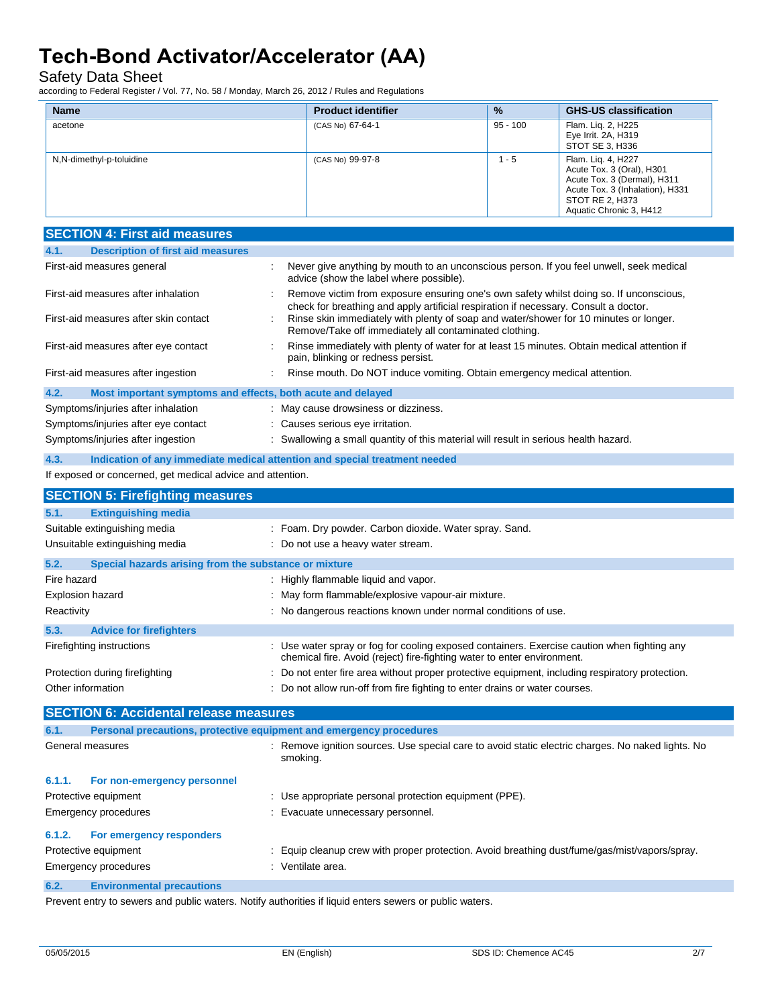Safety Data Sheet

according to Federal Register / Vol. 77, No. 58 / Monday, March 26, 2012 / Rules and Regulations

| <b>Name</b>              | <b>Product identifier</b> | $\frac{9}{6}$ | <b>GHS-US classification</b>                                                                                                                                    |
|--------------------------|---------------------------|---------------|-----------------------------------------------------------------------------------------------------------------------------------------------------------------|
| acetone                  | (CAS No) 67-64-1          | $95 - 100$    | Flam. Lig. 2, H225<br>Eye Irrit. 2A, H319<br>STOT SE 3, H336                                                                                                    |
| N,N-dimethyl-p-toluidine | (CAS No) 99-97-8          | - 5           | Flam. Lig. 4, H227<br>Acute Tox. 3 (Oral), H301<br>Acute Tox. 3 (Dermal), H311<br>Acute Tox. 3 (Inhalation), H331<br>STOT RE 2. H373<br>Aquatic Chronic 3, H412 |

| <b>SECTION 4: First aid measures</b>                                               |                                                                                                                                                                                |
|------------------------------------------------------------------------------------|--------------------------------------------------------------------------------------------------------------------------------------------------------------------------------|
| <b>Description of first aid measures</b><br>4.1.                                   |                                                                                                                                                                                |
| First-aid measures general                                                         | Never give anything by mouth to an unconscious person. If you feel unwell, seek medical<br>advice (show the label where possible).                                             |
| First-aid measures after inhalation                                                | Remove victim from exposure ensuring one's own safety whilst doing so. If unconscious,<br>check for breathing and apply artificial respiration if necessary. Consult a doctor. |
| First-aid measures after skin contact                                              | Rinse skin immediately with plenty of soap and water/shower for 10 minutes or longer.<br>Remove/Take off immediately all contaminated clothing.                                |
| First-aid measures after eye contact                                               | Rinse immediately with plenty of water for at least 15 minutes. Obtain medical attention if<br>pain, blinking or redness persist.                                              |
| First-aid measures after ingestion                                                 | Rinse mouth. Do NOT induce vomiting. Obtain emergency medical attention.                                                                                                       |
| 4.2.<br>Most important symptoms and effects, both acute and delayed                |                                                                                                                                                                                |
| Symptoms/injuries after inhalation                                                 | : May cause drowsiness or dizziness.                                                                                                                                           |
| Symptoms/injuries after eye contact                                                | : Causes serious eye irritation.                                                                                                                                               |
| Symptoms/injuries after ingestion                                                  | : Swallowing a small quantity of this material will result in serious health hazard.                                                                                           |
| 4.3.<br>Indication of any immediate medical attention and special treatment needed |                                                                                                                                                                                |
| If exposed or concerned, get medical advice and attention.                         |                                                                                                                                                                                |
| <b>SECTION 5: Firefighting measures</b>                                            |                                                                                                                                                                                |
| 5.1.<br><b>Extinguishing media</b>                                                 |                                                                                                                                                                                |
| Suitable extinguishing media                                                       | : Foam. Dry powder. Carbon dioxide. Water spray. Sand.                                                                                                                         |
| Unsuitable extinguishing media                                                     | : Do not use a heavy water stream.                                                                                                                                             |
| 5.2.<br>Special hazards arising from the substance or mixture                      |                                                                                                                                                                                |
| Fire hazard                                                                        | : Highly flammable liquid and vapor.                                                                                                                                           |
| Explosion hazard                                                                   | : May form flammable/explosive vapour-air mixture.                                                                                                                             |
| Reactivity                                                                         | : No dangerous reactions known under normal conditions of use.                                                                                                                 |
| 5.3.<br><b>Advice for firefighters</b>                                             |                                                                                                                                                                                |
| Firefighting instructions                                                          | : Use water spray or fog for cooling exposed containers. Exercise caution when fighting any<br>chemical fire. Avoid (reject) fire-fighting water to enter environment.         |
| Protection during firefighting                                                     | : Do not enter fire area without proper protective equipment, including respiratory protection.                                                                                |
| Other information                                                                  | : Do not allow run-off from fire fighting to enter drains or water courses.                                                                                                    |
| <b>SECTION 6: Accidental release measures</b>                                      |                                                                                                                                                                                |
| Personal precautions, protective equipment and emergency procedures<br>6.1.        |                                                                                                                                                                                |
| General measures                                                                   | : Remove ignition sources. Use special care to avoid static electric charges. No naked lights. No<br>smoking.                                                                  |
| 6.1.1.<br>For non-emergency personnel                                              |                                                                                                                                                                                |
| Protective equipment                                                               | : Use appropriate personal protection equipment (PPE).                                                                                                                         |
| Emergency procedures                                                               | : Evacuate unnecessary personnel.                                                                                                                                              |

#### **6.1.2. For emergency responders**

Protective equipment **interest in the Community Community** Equip cleanup crew with proper protection. Avoid breathing dust/fume/gas/mist/vapors/spray. Emergency procedures in the set of the set of the Semi-term in the Semi-term in the Semi-term in the Semi-term in the Semi-term in the Semi-term in the Semi-term in the Semi-term in the Semi-term in the Semi-term in the Se

#### **6.2. Environmental precautions**

Prevent entry to sewers and public waters. Notify authorities if liquid enters sewers or public waters.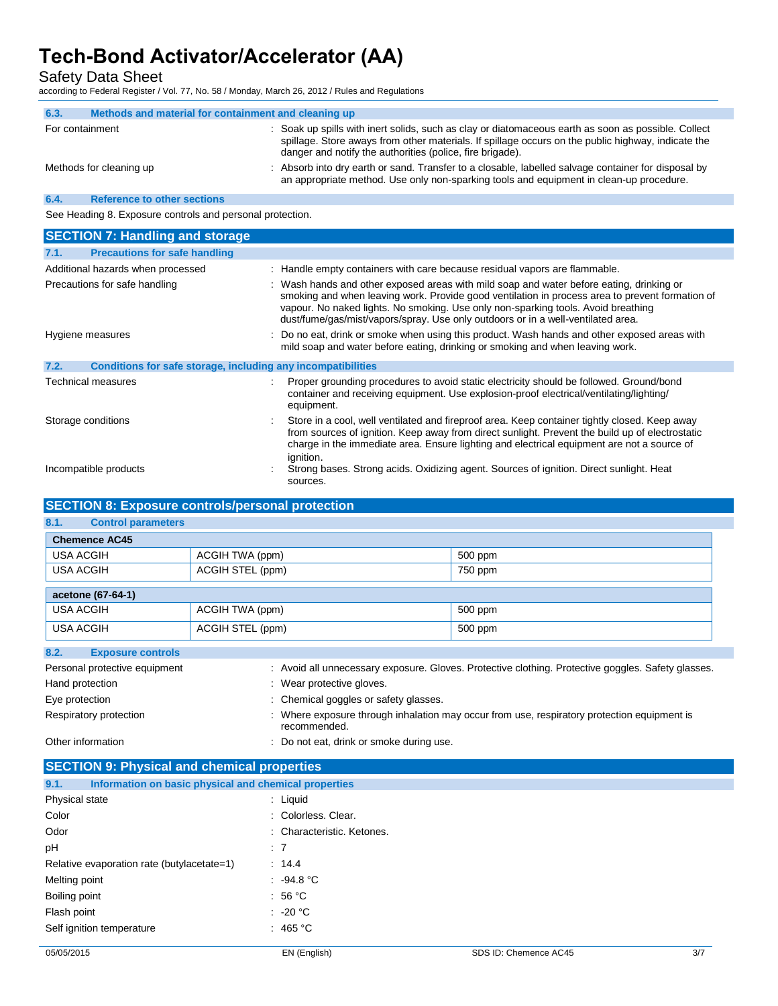Safety Data Sheet

according to Federal Register / Vol. 77, No. 58 / Monday, March 26, 2012 / Rules and Regulations

| 6.3.                                                      | Methods and material for containment and cleaning up |                                                                                                                                                                                                                                                                        |
|-----------------------------------------------------------|------------------------------------------------------|------------------------------------------------------------------------------------------------------------------------------------------------------------------------------------------------------------------------------------------------------------------------|
| For containment                                           |                                                      | : Soak up spills with inert solids, such as clay or diatomaceous earth as soon as possible. Collect<br>spillage. Store aways from other materials. If spillage occurs on the public highway, indicate the<br>danger and notify the authorities (police, fire brigade). |
|                                                           | Methods for cleaning up                              | : Absorb into dry earth or sand. Transfer to a closable, labelled salvage container for disposal by<br>an appropriate method. Use only non-sparking tools and equipment in clean-up procedure.                                                                         |
| 6.4.                                                      | <b>Reference to other sections</b>                   |                                                                                                                                                                                                                                                                        |
| See Heading 8. Exposure controls and personal protection. |                                                      |                                                                                                                                                                                                                                                                        |

**SECTION 7: Handling and storage** Hygiene measures **included about the state of the case of the exposed** areas with the product. Wash hands and other exposed areas with mild soap and water before eating, drinking or smoking and when leaving work. **7.2. Conditions for safe storage, including any incompatibilities** Technical measures **interproduced in the Contract of Contract** Proper grounding procedures to avoid static electricity should be followed. Ground/bond container and receiving equipment. Use explosion-proof electrical/ventilating/lighting/ equipment. Storage conditions **Store in a cool, well ventilated and fireproof area. Keep container tightly closed. Keep away** from sources of ignition. Keep away from direct sunlight. Prevent the build up of electrostatic charge in the immediate area. Ensure lighting and electrical equipment are not a source of ignition. Incompatible products **incompatible products** : Strong bases. Strong acids. Oxidizing agent. Sources of ignition. Direct sunlight. Heat sources. **7.1. Precautions for safe handling**  Additional hazards when processed : Handle empty containers with care because residual vapors are flammable. Precautions for safe handling : Wash hands and other exposed areas with mild soap and water before eating, drinking or smoking and when leaving work. Provide good ventilation in process area to prevent formation of vapour. No naked lights. No smoking. Use only non-sparking tools. Avoid breathing dust/fume/gas/mist/vapors/spray. Use only outdoors or in a well-ventilated area.

### **SECTION 8: Exposure controls/personal protection**

## **8.1. Control parameters**

| <b>Chemence AC45</b>                     |                  |         |  |
|------------------------------------------|------------------|---------|--|
| USA ACGIH                                | ACGIH TWA (ppm)  | 500 ppm |  |
| USA ACGIH<br>ACGIH STEL (ppm)<br>750 ppm |                  |         |  |
| acetone (67-64-1)                        |                  |         |  |
| USA ACGIH                                | ACGIH TWA (ppm)  | 500 ppm |  |
| USA ACGIH                                | ACGIH STEL (ppm) | 500 ppm |  |

### **8.2. Exposure controls**

| Personal protective equipment | : Avoid all unnecessary exposure. Gloves. Protective clothing. Protective goggles. Safety glasses.          |
|-------------------------------|-------------------------------------------------------------------------------------------------------------|
| Hand protection               | : Wear protective gloves.                                                                                   |
| Eye protection                | : Chemical goggles or safety glasses.                                                                       |
| Respiratory protection        | : Where exposure through inhalation may occur from use, respiratory protection equipment is<br>recommended. |
| Other information             | Do not eat, drink or smoke during use.                                                                      |

#### **SECTION 9: Physical and chemical properties**

| Information on basic physical and chemical properties<br>9.1. |                            |
|---------------------------------------------------------------|----------------------------|
| Physical state                                                | $:$ Liquid                 |
| Color                                                         | : Colorless, Clear.        |
| Odor                                                          | : Characteristic. Ketones. |
| рH                                                            | :7                         |
| Relative evaporation rate (butylacetate=1)                    | : 14.4                     |
| Melting point                                                 | : 94.8 °C                  |
| Boiling point                                                 | : 56 $^{\circ}$ C          |
| Flash point                                                   | $: 20^{\circ}$ C           |
| Self ignition temperature                                     | : 465 °C                   |
|                                                               |                            |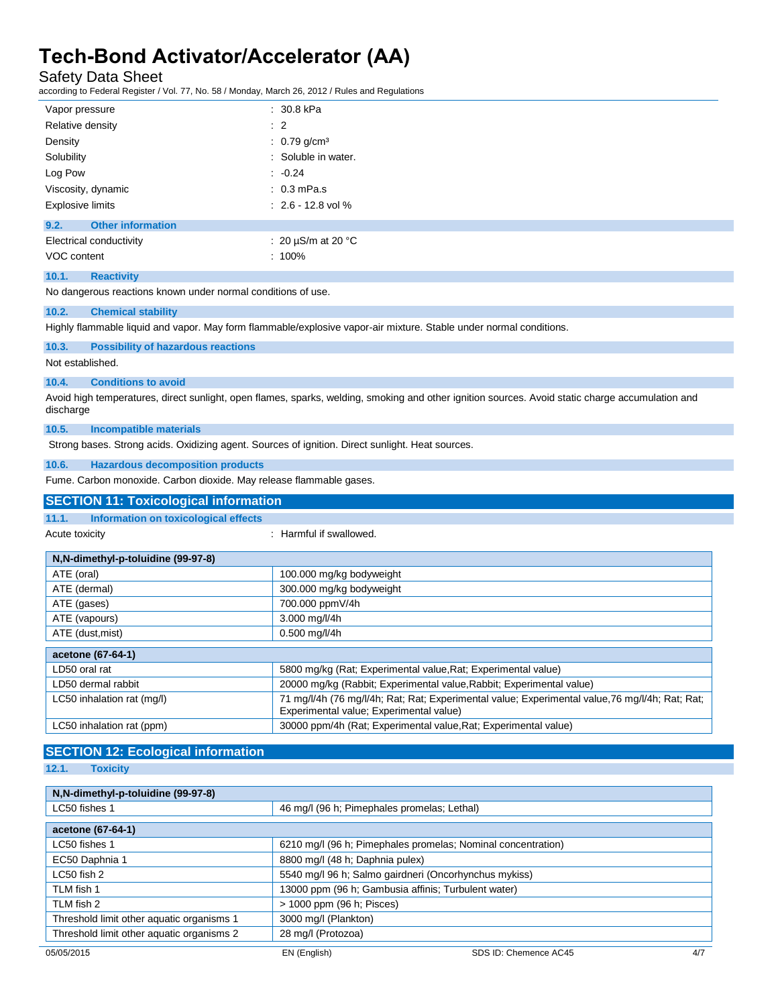Safety Data Sheet

according to Federal Register / Vol. 77, No. 58 / Monday, March 26, 2012 / Rules and Regulations

| Vapor pressure                   | $: 30.8$ kPa               |
|----------------------------------|----------------------------|
| Relative density                 | $\therefore$ 2             |
| Density                          | : $0.79$ g/cm <sup>3</sup> |
| Solubility                       | : Soluble in water.        |
| Log Pow                          | $-0.24$                    |
| Viscosity, dynamic               | $: 0.3$ mPa.s              |
| <b>Explosive limits</b>          | $: 2.6 - 12.8$ vol %       |
| 9.2.<br><b>Other information</b> |                            |
| Electrical conductivity          | : 20 $\mu$ S/m at 20 °C    |
| VOC content                      | $: 100\%$                  |
| 10.1.<br><b>Reactivity</b>       |                            |

No dangerous reactions known under normal conditions of use.

#### **10.2. Chemical stability**

Highly flammable liquid and vapor. May form flammable/explosive vapor-air mixture. Stable under normal conditions.

### **10.3. Possibility of hazardous reactions**

Not established.

#### **10.4. Conditions to avoid**

Avoid high temperatures, direct sunlight, open flames, sparks, welding, smoking and other ignition sources. Avoid static charge accumulation and discharge

#### **10.5. Incompatible materials**

Strong bases. Strong acids. Oxidizing agent. Sources of ignition. Direct sunlight. Heat sources.

#### **10.6. Hazardous decomposition products**

Fume. Carbon monoxide. Carbon dioxide. May release flammable gases.

## **SECTION 11: Toxicological information**

#### **11.1. Information on toxicological effects**

Acute toxicity **in the case of the CALIC CONTEX CONTEX CONTEX CONTEX CONTEX CONTEX CONTEX CONTEX CONTEX CONTEX CONTEX CONTEX CONTEX CONTEX CONTEX CONTEX CONTEX CONTEX CONTEX CONTEX CONTEX CONTEX CONTEX CONTEX CONTEX CONTEX** 

 $\overline{a}$ 

| N,N-dimethyl-p-toluidine (99-97-8) |                                                                                                                                            |  |  |
|------------------------------------|--------------------------------------------------------------------------------------------------------------------------------------------|--|--|
| ATE (oral)                         | 100.000 mg/kg bodyweight                                                                                                                   |  |  |
| ATE (dermal)                       | 300.000 mg/kg bodyweight                                                                                                                   |  |  |
| ATE (gases)                        | 700.000 ppmV/4h                                                                                                                            |  |  |
| ATE (vapours)                      | 3.000 mg/l/4h                                                                                                                              |  |  |
| ATE (dust, mist)                   | $0.500$ mg/l/4h                                                                                                                            |  |  |
|                                    |                                                                                                                                            |  |  |
| acetone (67-64-1)                  |                                                                                                                                            |  |  |
| LD50 oral rat                      | 5800 mg/kg (Rat; Experimental value, Rat; Experimental value)                                                                              |  |  |
| LD50 dermal rabbit                 | 20000 mg/kg (Rabbit; Experimental value, Rabbit; Experimental value)                                                                       |  |  |
| LC50 inhalation rat (mg/l)         | 71 mg/l/4h (76 mg/l/4h; Rat; Rat; Experimental value; Experimental value, 76 mg/l/4h; Rat; Rat;<br>Experimental value; Experimental value) |  |  |
| LC50 inhalation rat (ppm)          | 30000 ppm/4h (Rat; Experimental value, Rat; Experimental value)                                                                            |  |  |

## **SECTION 12: Ecological information**

**12.1. Toxicity**

#### **N,N-dimethyl-p-toluidine (99-97-8)**

| LC50 fishes 1                             | 46 mg/l (96 h; Pimephales promelas; Lethal)                  |
|-------------------------------------------|--------------------------------------------------------------|
| acetone (67-64-1)                         |                                                              |
| LC50 fishes 1                             | 6210 mg/l (96 h; Pimephales promelas; Nominal concentration) |
| EC50 Daphnia 1                            | 8800 mg/l (48 h; Daphnia pulex)                              |
| LC50 fish 2                               | 5540 mg/l 96 h; Salmo gairdneri (Oncorhynchus mykiss)        |
| TLM fish 1                                | 13000 ppm (96 h; Gambusia affinis; Turbulent water)          |
| TLM fish 2                                | > 1000 ppm (96 h; Pisces)                                    |
| Threshold limit other aquatic organisms 1 | 3000 mg/l (Plankton)                                         |
| Threshold limit other aquatic organisms 2 | 28 mg/l (Protozoa)                                           |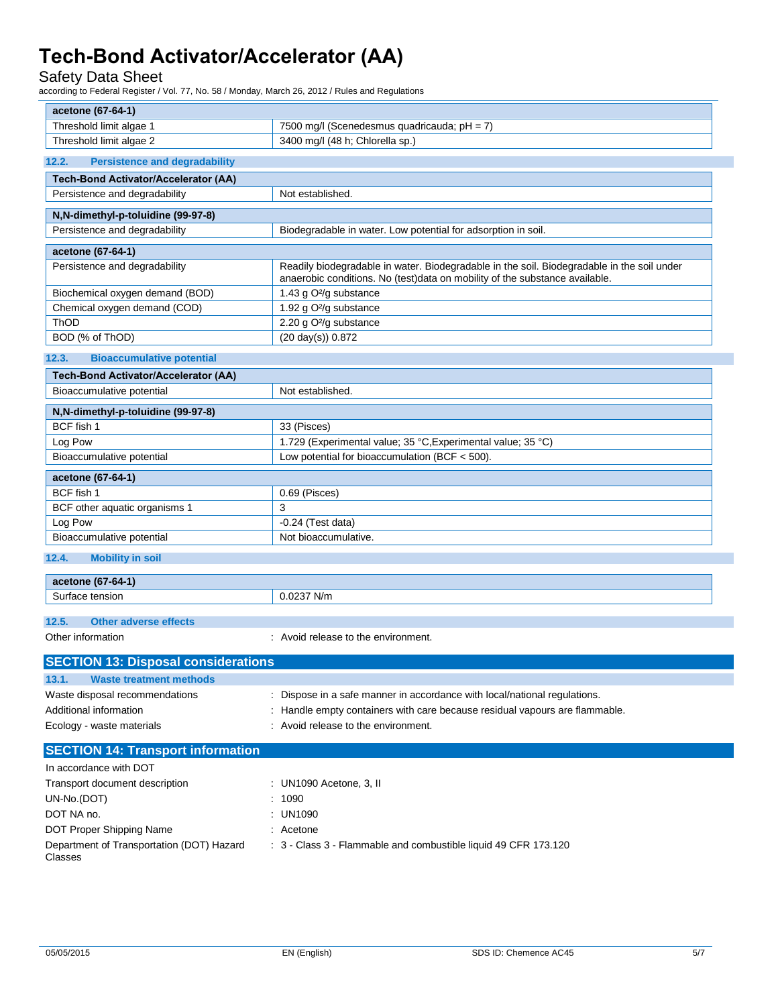### Safety Data Sheet

according to Federal Register / Vol. 77, No. 58 / Monday, March 26, 2012 / Rules and Regulations

| acetone (67-64-1)                                        |                                                                                                                    |
|----------------------------------------------------------|--------------------------------------------------------------------------------------------------------------------|
| Threshold limit algae 1                                  | 7500 mg/l (Scenedesmus quadricauda; pH = 7)                                                                        |
| Threshold limit algae 2                                  | 3400 mg/l (48 h; Chlorella sp.)                                                                                    |
| <b>Persistence and degradability</b><br>12.2.            |                                                                                                                    |
| <b>Tech-Bond Activator/Accelerator (AA)</b>              |                                                                                                                    |
| Persistence and degradability                            | Not established.                                                                                                   |
| N,N-dimethyl-p-toluidine (99-97-8)                       |                                                                                                                    |
| Persistence and degradability                            | Biodegradable in water. Low potential for adsorption in soil.                                                      |
| acetone (67-64-1)                                        |                                                                                                                    |
| Persistence and degradability                            | Readily biodegradable in water. Biodegradable in the soil. Biodegradable in the soil under                         |
|                                                          | anaerobic conditions. No (test)data on mobility of the substance available.                                        |
| Biochemical oxygen demand (BOD)                          | 1.43 g O <sup>2</sup> /g substance                                                                                 |
| Chemical oxygen demand (COD)                             | 1.92 g O <sup>2</sup> /g substance                                                                                 |
| ThOD                                                     | 2.20 g O <sup>2</sup> /g substance                                                                                 |
| BOD (% of ThOD)                                          | $(20 \text{ day(s)})$ 0.872                                                                                        |
| 12.3.<br><b>Bioaccumulative potential</b>                |                                                                                                                    |
| <b>Tech-Bond Activator/Accelerator (AA)</b>              |                                                                                                                    |
| Bioaccumulative potential                                | Not established.                                                                                                   |
| N, N-dimethyl-p-toluidine (99-97-8)                      |                                                                                                                    |
| BCF fish 1                                               | 33 (Pisces)                                                                                                        |
| Log Pow                                                  | 1.729 (Experimental value; 35 °C, Experimental value; 35 °C)                                                       |
| Bioaccumulative potential                                | Low potential for bioaccumulation (BCF < 500).                                                                     |
| acetone (67-64-1)                                        |                                                                                                                    |
| BCF fish 1                                               | 0.69 (Pisces)                                                                                                      |
| BCF other aquatic organisms 1                            | 3                                                                                                                  |
| Log Pow                                                  | $-0.24$ (Test data)                                                                                                |
| Bioaccumulative potential                                | Not bioaccumulative.                                                                                               |
| 12.4.<br><b>Mobility in soil</b>                         |                                                                                                                    |
|                                                          |                                                                                                                    |
| acetone (67-64-1)                                        |                                                                                                                    |
| Surface tension                                          | 0.0237 N/m                                                                                                         |
| 12.5.<br><b>Other adverse effects</b>                    |                                                                                                                    |
| Other information                                        | : Avoid release to the environment.                                                                                |
|                                                          |                                                                                                                    |
| <b>SECTION 13: Disposal considerations</b>               |                                                                                                                    |
| 13.1.<br><b>Waste treatment methods</b>                  |                                                                                                                    |
| Waste disposal recommendations<br>Additional information | : Dispose in a safe manner in accordance with local/national regulations.                                          |
| Ecology - waste materials                                | : Handle empty containers with care because residual vapours are flammable.<br>: Avoid release to the environment. |
|                                                          |                                                                                                                    |
| <b>SECTION 14: Transport information</b>                 |                                                                                                                    |
| In accordance with DOT                                   |                                                                                                                    |
| Transport document description                           | : UN1090 Acetone, 3, II                                                                                            |
| UN-No.(DOT)                                              | : 1090                                                                                                             |
| DOT NA no.                                               | : UN1090                                                                                                           |
| DOT Proper Shipping Name                                 | : Acetone                                                                                                          |
| Department of Transportation (DOT) Hazard<br>Classes     | : 3 - Class 3 - Flammable and combustible liquid 49 CFR 173.120                                                    |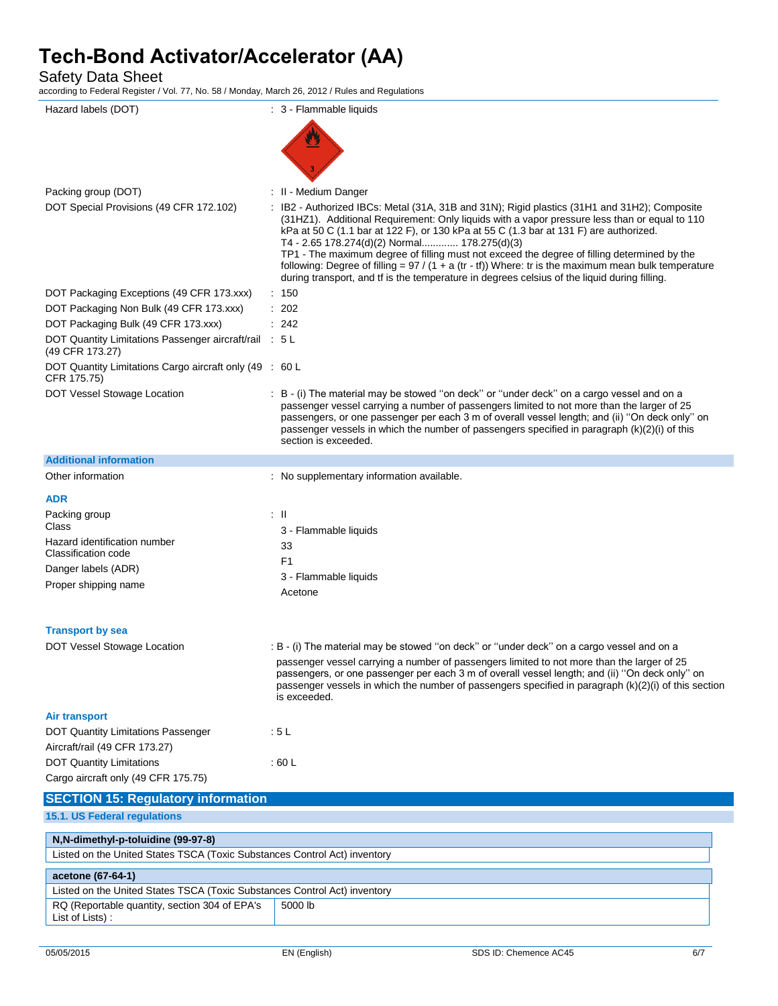Safety Data Sheet

according to Federal Register / Vol. 77, No. 58 / Monday, March 26, 2012 / Rules and Regulations

| Hazard labels (DOT)                                                       | : 3 - Flammable liquids                                                                                                                                                                                                                                                                                                                                                                                                                                                                                                                         |
|---------------------------------------------------------------------------|-------------------------------------------------------------------------------------------------------------------------------------------------------------------------------------------------------------------------------------------------------------------------------------------------------------------------------------------------------------------------------------------------------------------------------------------------------------------------------------------------------------------------------------------------|
|                                                                           |                                                                                                                                                                                                                                                                                                                                                                                                                                                                                                                                                 |
|                                                                           |                                                                                                                                                                                                                                                                                                                                                                                                                                                                                                                                                 |
|                                                                           |                                                                                                                                                                                                                                                                                                                                                                                                                                                                                                                                                 |
|                                                                           |                                                                                                                                                                                                                                                                                                                                                                                                                                                                                                                                                 |
| Packing group (DOT)<br>DOT Special Provisions (49 CFR 172.102)            | : II - Medium Danger<br>IB2 - Authorized IBCs: Metal (31A, 31B and 31N); Rigid plastics (31H1 and 31H2); Composite                                                                                                                                                                                                                                                                                                                                                                                                                              |
|                                                                           | (31HZ1). Additional Requirement: Only liquids with a vapor pressure less than or equal to 110<br>kPa at 50 C (1.1 bar at 122 F), or 130 kPa at 55 C (1.3 bar at 131 F) are authorized.<br>T4 - 2.65 178.274(d)(2) Normal 178.275(d)(3)<br>TP1 - The maximum degree of filling must not exceed the degree of filling determined by the<br>following: Degree of filling = $97 / (1 + a (tr - tf))$ Where: tr is the maximum mean bulk temperature<br>during transport, and if is the temperature in degrees celsius of the liquid during filling. |
| DOT Packaging Exceptions (49 CFR 173.xxx)                                 | $\therefore$ 150                                                                                                                                                                                                                                                                                                                                                                                                                                                                                                                                |
| DOT Packaging Non Bulk (49 CFR 173.xxx)                                   | : 202                                                                                                                                                                                                                                                                                                                                                                                                                                                                                                                                           |
| DOT Packaging Bulk (49 CFR 173.xxx)                                       | : 242                                                                                                                                                                                                                                                                                                                                                                                                                                                                                                                                           |
| DOT Quantity Limitations Passenger aircraft/rail : 5 L<br>(49 CFR 173.27) |                                                                                                                                                                                                                                                                                                                                                                                                                                                                                                                                                 |
| DOT Quantity Limitations Cargo aircraft only (49 : 60 L<br>CFR 175.75)    |                                                                                                                                                                                                                                                                                                                                                                                                                                                                                                                                                 |
| DOT Vessel Stowage Location                                               | : B - (i) The material may be stowed "on deck" or "under deck" on a cargo vessel and on a<br>passenger vessel carrying a number of passengers limited to not more than the larger of 25<br>passengers, or one passenger per each 3 m of overall vessel length; and (ii) "On deck only" on<br>passenger vessels in which the number of passengers specified in paragraph (k)(2)(i) of this<br>section is exceeded.                                                                                                                               |
| <b>Additional information</b>                                             |                                                                                                                                                                                                                                                                                                                                                                                                                                                                                                                                                 |
| Other information                                                         | : No supplementary information available.                                                                                                                                                                                                                                                                                                                                                                                                                                                                                                       |
| <b>ADR</b>                                                                |                                                                                                                                                                                                                                                                                                                                                                                                                                                                                                                                                 |
| Packing group                                                             | : II                                                                                                                                                                                                                                                                                                                                                                                                                                                                                                                                            |
| Class<br>Hazard identification number                                     | 3 - Flammable liquids                                                                                                                                                                                                                                                                                                                                                                                                                                                                                                                           |
| Classification code                                                       | 33                                                                                                                                                                                                                                                                                                                                                                                                                                                                                                                                              |
| Danger labels (ADR)                                                       | F <sub>1</sub>                                                                                                                                                                                                                                                                                                                                                                                                                                                                                                                                  |
| Proper shipping name                                                      | 3 - Flammable liquids                                                                                                                                                                                                                                                                                                                                                                                                                                                                                                                           |
|                                                                           | Acetone                                                                                                                                                                                                                                                                                                                                                                                                                                                                                                                                         |
| <b>Transport by sea</b>                                                   |                                                                                                                                                                                                                                                                                                                                                                                                                                                                                                                                                 |
| DOT Vessel Stowage Location                                               | : B - (i) The material may be stowed "on deck" or "under deck" on a cargo vessel and on a                                                                                                                                                                                                                                                                                                                                                                                                                                                       |
|                                                                           | passenger vessel carrying a number of passengers limited to not more than the larger of 25<br>passengers, or one passenger per each 3 m of overall vessel length; and (ii) "On deck only" on<br>passenger vessels in which the number of passengers specified in paragraph $(k)(2)(i)$ of this section<br>is exceeded.                                                                                                                                                                                                                          |
| <b>Air transport</b>                                                      |                                                                                                                                                                                                                                                                                                                                                                                                                                                                                                                                                 |
| <b>DOT Quantity Limitations Passenger</b>                                 | :5L                                                                                                                                                                                                                                                                                                                                                                                                                                                                                                                                             |
| Aircraft/rail (49 CFR 173.27)                                             |                                                                                                                                                                                                                                                                                                                                                                                                                                                                                                                                                 |
| <b>DOT Quantity Limitations</b>                                           | : 60 L                                                                                                                                                                                                                                                                                                                                                                                                                                                                                                                                          |
| Cargo aircraft only (49 CFR 175.75)                                       |                                                                                                                                                                                                                                                                                                                                                                                                                                                                                                                                                 |
| <b>SECTION 15: Regulatory information</b>                                 |                                                                                                                                                                                                                                                                                                                                                                                                                                                                                                                                                 |
| 15.1. US Federal regulations                                              |                                                                                                                                                                                                                                                                                                                                                                                                                                                                                                                                                 |
| N,N-dimethyl-p-toluidine (99-97-8)                                        |                                                                                                                                                                                                                                                                                                                                                                                                                                                                                                                                                 |
| Listed on the United States TSCA (Toxic Substances Control Act) inventory |                                                                                                                                                                                                                                                                                                                                                                                                                                                                                                                                                 |
| acetone (67-64-1)                                                         |                                                                                                                                                                                                                                                                                                                                                                                                                                                                                                                                                 |
| Listed on the United States TSCA (Toxic Substances Control Act) inventory |                                                                                                                                                                                                                                                                                                                                                                                                                                                                                                                                                 |
| RQ (Reportable quantity, section 304 of EPA's<br>List of Lists):          | 5000 lb                                                                                                                                                                                                                                                                                                                                                                                                                                                                                                                                         |